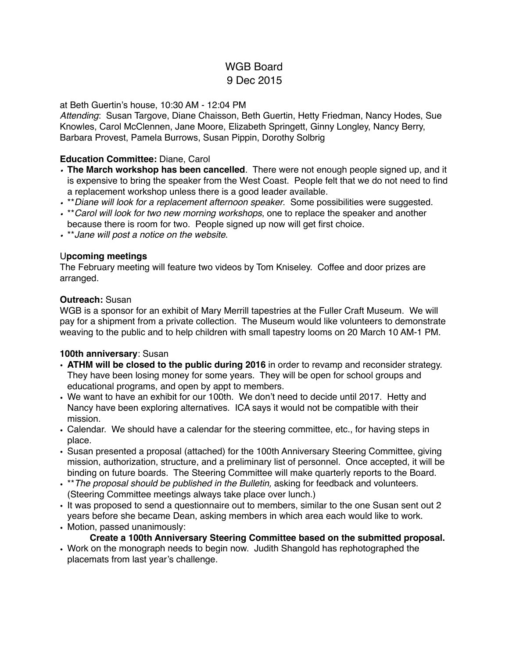# WGB Board 9 Dec 2015

## at Beth Guertin's house, 10:30 AM - 12:04 PM

*Attending*: Susan Targove, Diane Chaisson, Beth Guertin, Hetty Friedman, Nancy Hodes, Sue Knowles, Carol McClennen, Jane Moore, Elizabeth Springett, Ginny Longley, Nancy Berry, Barbara Provest, Pamela Burrows, Susan Pippin, Dorothy Solbrig

#### **Education Committee:** Diane, Carol

- *•* **The March workshop has been cancelled***.* There were not enough people signed up, and it is expensive to bring the speaker from the West Coast. People felt that we do not need to find a replacement workshop unless there is a good leader available.
- *•* \*\**Diane will look for a replacement afternoon speaker*. Some possibilities were suggested.
- *•* \*\**Carol will look for two new morning workshops*, one to replace the speaker and another
- because there is room for two. People signed up now will get first choice.
- *•* \*\**Jane will post a notice on the website*.

#### U**pcoming meetings**

The February meeting will feature two videos by Tom Kniseley. Coffee and door prizes are arranged.

#### **Outreach:** Susan

WGB is a sponsor for an exhibit of Mary Merrill tapestries at the Fuller Craft Museum. We will pay for a shipment from a private collection. The Museum would like volunteers to demonstrate weaving to the public and to help children with small tapestry looms on 20 March 10 AM-1 PM.

## **100th anniversary**: Susan

- **• ATHM will be closed to the public during 2016** in order to revamp and reconsider strategy. They have been losing money for some years. They will be open for school groups and educational programs, and open by appt to members.
- **•** We want to have an exhibit for our 100th. We don't need to decide until 2017. Hetty and Nancy have been exploring alternatives. ICA says it would not be compatible with their mission.
- **•** Calendar. We should have a calendar for the steering committee, etc., for having steps in place.
- **•** Susan presented a proposal (attached) for the 100th Anniversary Steering Committee, giving mission, authorization, structure, and a preliminary list of personnel. Once accepted, it will be binding on future boards. The Steering Committee will make quarterly reports to the Board.
- **•** \*\**The proposal should be published in the Bulletin,* asking for feedback and volunteers. (Steering Committee meetings always take place over lunch.)
- **•** It was proposed to send a questionnaire out to members, similar to the one Susan sent out 2 years before she became Dean, asking members in which area each would like to work.
- **•** Motion, passed unanimously:

## **Create a 100th Anniversary Steering Committee based on the submitted proposal.**

• Work on the monograph needs to begin now. Judith Shangold has rephotographed the placemats from last year's challenge.